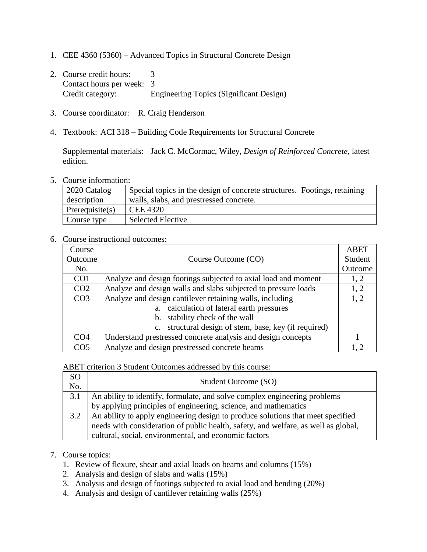- 1. CEE 4360 (5360) Advanced Topics in Structural Concrete Design
- 2. Course credit hours: 3 Contact hours per week: 3 Credit category: Engineering Topics (Significant Design)
- 3. Course coordinator: R. Craig Henderson
- 4. Textbook: ACI 318 Building Code Requirements for Structural Concrete

Supplemental materials: Jack C. McCormac, Wiley, *Design of Reinforced Concrete,* latest edition.

5. Course information:

| $\vert$ 2020 Catalog | Special topics in the design of concrete structures. Footings, retaining |  |
|----------------------|--------------------------------------------------------------------------|--|
| description          | walls, slabs, and prestressed concrete.                                  |  |
| Prerequisite(s)      | <b>CEE 4320</b>                                                          |  |
| Course type          | <b>Selected Elective</b>                                                 |  |

## 6. Course instructional outcomes:

| Course          |                                                                   | <b>ABET</b> |
|-----------------|-------------------------------------------------------------------|-------------|
| Outcome         | Course Outcome (CO)                                               | Student     |
| No.             |                                                                   | Outcome     |
| CO <sub>1</sub> | Analyze and design footings subjected to axial load and moment    | 1, 2        |
| CO <sub>2</sub> | Analyze and design walls and slabs subjected to pressure loads    | 1, 2        |
| CO <sub>3</sub> | Analyze and design cantilever retaining walls, including          | 1, 2        |
|                 | a. calculation of lateral earth pressures                         |             |
|                 | stability check of the wall<br>$\mathbf{b}$ .                     |             |
|                 | structural design of stem, base, key (if required)<br>$c_{\cdot}$ |             |
| CO <sub>4</sub> | Understand prestressed concrete analysis and design concepts      |             |
| CO <sub>5</sub> | Analyze and design prestressed concrete beams                     |             |

ABET criterion 3 Student Outcomes addressed by this course:

| SO<br>No. | Student Outcome (SO)                                                               |
|-----------|------------------------------------------------------------------------------------|
| 3.1       | An ability to identify, formulate, and solve complex engineering problems          |
|           | by applying principles of engineering, science, and mathematics                    |
| 3.2       | An ability to apply engineering design to produce solutions that meet specified    |
|           | needs with consideration of public health, safety, and welfare, as well as global, |
|           | cultural, social, environmental, and economic factors                              |

## 7. Course topics:

- 1. Review of flexure, shear and axial loads on beams and columns (15%)
- 2. Analysis and design of slabs and walls (15%)
- 3. Analysis and design of footings subjected to axial load and bending (20%)
- 4. Analysis and design of cantilever retaining walls (25%)